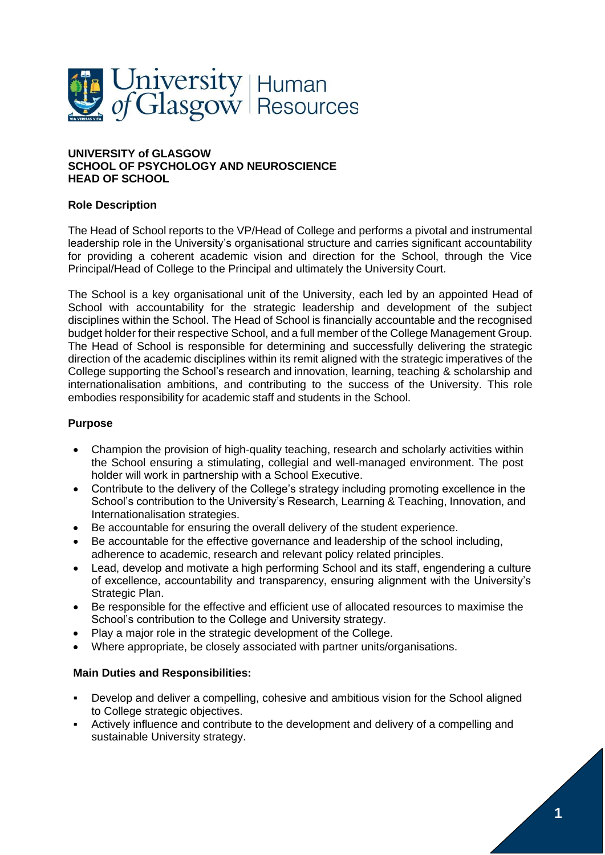

#### **UNIVERSITY of GLASGOW SCHOOL OF PSYCHOLOGY AND NEUROSCIENCE HEAD OF SCHOOL**

#### **Role Description**

The Head of School reports to the VP/Head of College and performs a pivotal and instrumental leadership role in the University's organisational structure and carries significant accountability for providing a coherent academic vision and direction for the School, through the Vice Principal/Head of College to the Principal and ultimately the University Court.

The School is a key organisational unit of the University, each led by an appointed Head of School with accountability for the strategic leadership and development of the subject disciplines within the School. The Head of School is financially accountable and the recognised budget holder for their respective School, and a full member of the College Management Group. The Head of School is responsible for determining and successfully delivering the strategic direction of the academic disciplines within its remit aligned with the strategic imperatives of the College supporting the School's research and innovation, learning, teaching & scholarship and internationalisation ambitions, and contributing to the success of the University. This role embodies responsibility for academic staff and students in the School.

#### **Purpose**

- Champion the provision of high-quality teaching, research and scholarly activities within the School ensuring a stimulating, collegial and well-managed environment. The post holder will work in partnership with a School Executive.
- Contribute to the delivery of the College's strategy including promoting excellence in the School's contribution to the University's Research, Learning & Teaching, Innovation, and Internationalisation strategies.
- Be accountable for ensuring the overall delivery of the student experience.
- Be accountable for the effective governance and leadership of the school including, adherence to academic, research and relevant policy related principles.
- Lead, develop and motivate a high performing School and its staff, engendering a culture of excellence, accountability and transparency, ensuring alignment with the University's Strategic Plan.
- Be responsible for the effective and efficient use of allocated resources to maximise the School's contribution to the College and University strategy.
- Play a major role in the strategic development of the College.
- Where appropriate, be closely associated with partner units/organisations.

# **Main Duties and Responsibilities:**

- Develop and deliver a compelling, cohesive and ambitious vision for the School aligned to College strategic objectives.
- Actively influence and contribute to the development and delivery of a compelling and sustainable University strategy.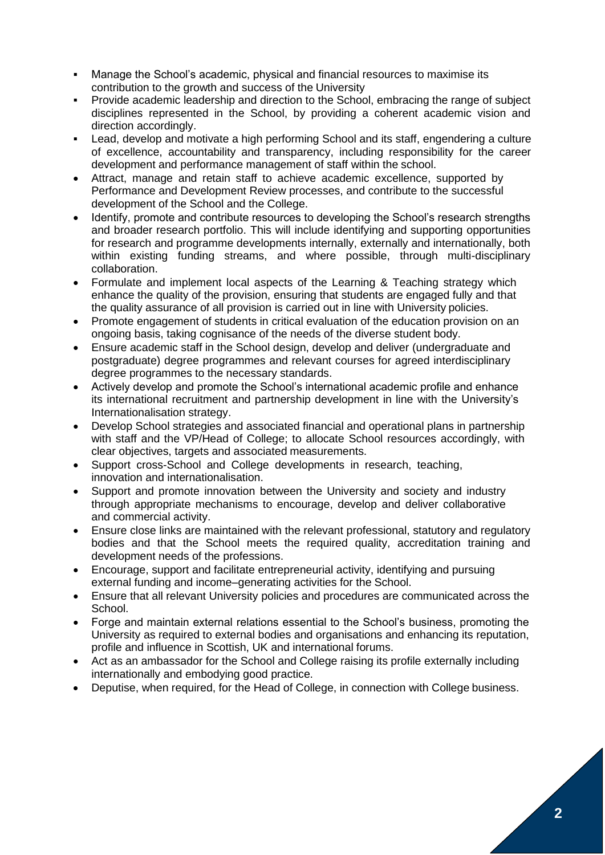- Manage the School's academic, physical and financial resources to maximise its contribution to the growth and success of the University
- Provide academic leadership and direction to the School, embracing the range of subject disciplines represented in the School, by providing a coherent academic vision and direction accordingly.
- Lead, develop and motivate a high performing School and its staff, engendering a culture of excellence, accountability and transparency, including responsibility for the career development and performance management of staff within the school.
- Attract, manage and retain staff to achieve academic excellence, supported by Performance and Development Review processes, and contribute to the successful development of the School and the College.
- Identify, promote and contribute resources to developing the School's research strengths and broader research portfolio. This will include identifying and supporting opportunities for research and programme developments internally, externally and internationally, both within existing funding streams, and where possible, through multi-disciplinary collaboration.
- Formulate and implement local aspects of the Learning & Teaching strategy which enhance the quality of the provision, ensuring that students are engaged fully and that the quality assurance of all provision is carried out in line with University policies.
- Promote engagement of students in critical evaluation of the education provision on an ongoing basis, taking cognisance of the needs of the diverse student body.
- Ensure academic staff in the School design, develop and deliver (undergraduate and postgraduate) degree programmes and relevant courses for agreed interdisciplinary degree programmes to the necessary standards.
- Actively develop and promote the School's international academic profile and enhance its international recruitment and partnership development in line with the University's Internationalisation strategy.
- Develop School strategies and associated financial and operational plans in partnership with staff and the VP/Head of College; to allocate School resources accordingly, with clear objectives, targets and associated measurements.
- Support cross-School and College developments in research, teaching, innovation and internationalisation.
- Support and promote innovation between the University and society and industry through appropriate mechanisms to encourage, develop and deliver collaborative and commercial activity.
- Ensure close links are maintained with the relevant professional, statutory and regulatory bodies and that the School meets the required quality, accreditation training and development needs of the professions.
- Encourage, support and facilitate entrepreneurial activity, identifying and pursuing external funding and income–generating activities for the School.
- Ensure that all relevant University policies and procedures are communicated across the School.
- Forge and maintain external relations essential to the School's business, promoting the University as required to external bodies and organisations and enhancing its reputation, profile and influence in Scottish, UK and international forums.
- Act as an ambassador for the School and College raising its profile externally including internationally and embodying good practice.
- Deputise, when required, for the Head of College, in connection with College business.